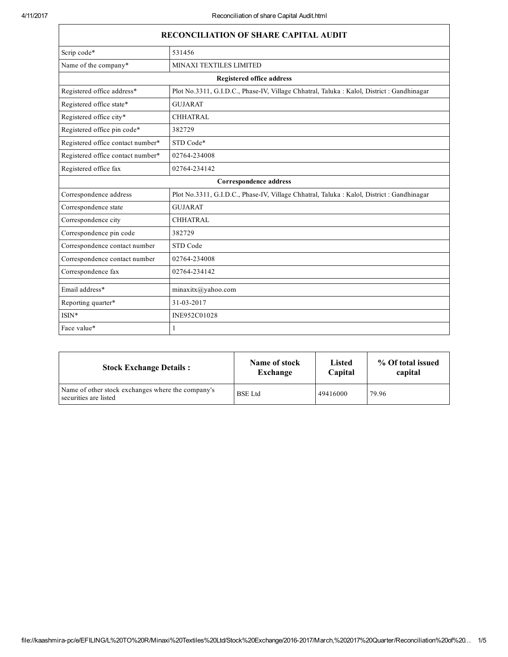| <b>RECONCILIATION OF SHARE CAPITAL AUDIT</b> |                                                                                            |  |  |  |
|----------------------------------------------|--------------------------------------------------------------------------------------------|--|--|--|
| Scrip code*                                  | 531456                                                                                     |  |  |  |
| Name of the company*                         | <b>MINAXI TEXTILES LIMITED</b>                                                             |  |  |  |
|                                              | <b>Registered office address</b>                                                           |  |  |  |
| Registered office address*                   | Plot No.3311, G.I.D.C., Phase-IV, Village Chhatral, Taluka : Kalol, District : Gandhinagar |  |  |  |
| Registered office state*                     | <b>GUJARAT</b>                                                                             |  |  |  |
| Registered office city*                      | <b>CHHATRAL</b>                                                                            |  |  |  |
| Registered office pin code*                  | 382729                                                                                     |  |  |  |
| Registered office contact number*            | STD Code*                                                                                  |  |  |  |
| Registered office contact number*            | 02764-234008                                                                               |  |  |  |
| Registered office fax                        | 02764-234142                                                                               |  |  |  |
| Correspondence address                       |                                                                                            |  |  |  |
| Correspondence address                       | Plot No.3311, G.I.D.C., Phase-IV, Village Chhatral, Taluka : Kalol, District : Gandhinagar |  |  |  |
| Correspondence state                         | <b>GUJARAT</b>                                                                             |  |  |  |
| Correspondence city                          | <b>CHHATRAL</b>                                                                            |  |  |  |
| Correspondence pin code                      | 382729                                                                                     |  |  |  |
| Correspondence contact number                | STD Code                                                                                   |  |  |  |
| Correspondence contact number                | 02764-234008                                                                               |  |  |  |
| Correspondence fax                           | 02764-234142                                                                               |  |  |  |
| Email address*                               | minaxitx@yahoo.com                                                                         |  |  |  |
| Reporting quarter*                           | 31-03-2017                                                                                 |  |  |  |
| $ISIN*$                                      | INE952C01028                                                                               |  |  |  |
| Face value*                                  | 1                                                                                          |  |  |  |

| <b>Stock Exchange Details:</b>                                             | Name of stock  | Listed   | % Of total issued |
|----------------------------------------------------------------------------|----------------|----------|-------------------|
|                                                                            | Exchange       | Capital  | capital           |
| Name of other stock exchanges where the company's<br>securities are listed | <b>BSE</b> Ltd | 49416000 | 79.96             |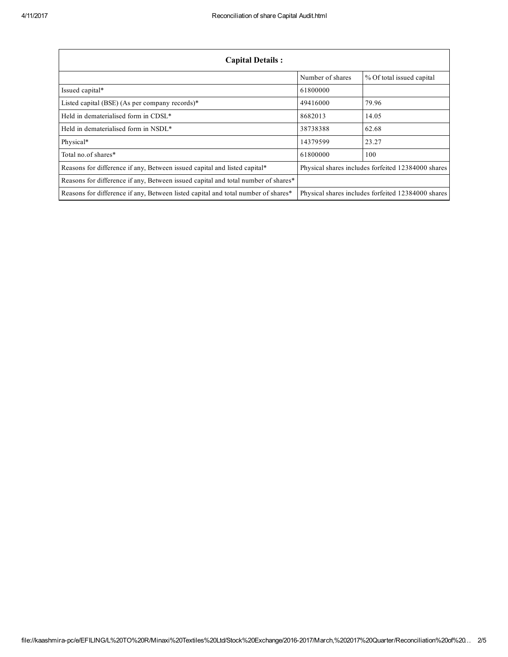| <b>Capital Details:</b>                                                           |                  |                                                    |  |
|-----------------------------------------------------------------------------------|------------------|----------------------------------------------------|--|
|                                                                                   | Number of shares | % Of total issued capital                          |  |
| Issued capital*                                                                   | 61800000         |                                                    |  |
| Listed capital (BSE) (As per company records)*                                    | 49416000         | 79.96                                              |  |
| Held in dematerialised form in CDSL <sup>*</sup>                                  | 8682013          | 14.05                                              |  |
| Held in dematerialised form in NSDL*                                              | 38738388         | 62.68                                              |  |
| Physical*                                                                         | 14379599         | 23.27                                              |  |
| Total no of shares*                                                               | 61800000         | 100                                                |  |
| Reasons for difference if any, Between issued capital and listed capital*         |                  | Physical shares includes forfeited 12384000 shares |  |
| Reasons for difference if any, Between issued capital and total number of shares* |                  |                                                    |  |
| Reasons for difference if any, Between listed capital and total number of shares* |                  | Physical shares includes forfeited 12384000 shares |  |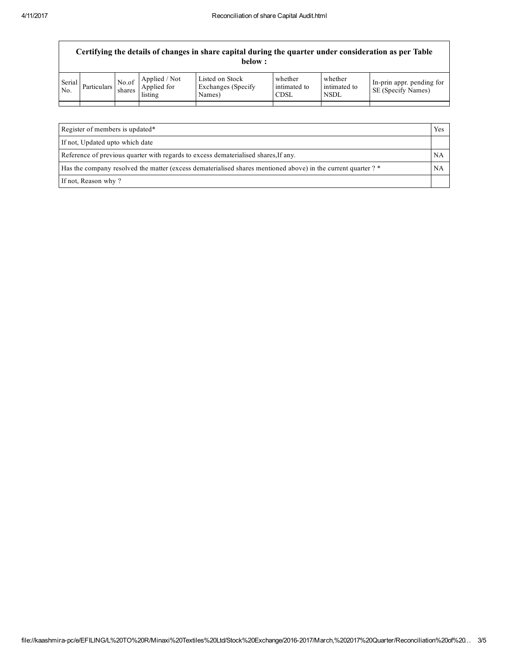|               | Certifying the details of changes in share capital during the quarter under consideration as per Table<br>below : |                 |                                         |                                                  |                                        |                                 |                                                 |
|---------------|-------------------------------------------------------------------------------------------------------------------|-----------------|-----------------------------------------|--------------------------------------------------|----------------------------------------|---------------------------------|-------------------------------------------------|
| Serial<br>No. | Particulars                                                                                                       | No.of<br>shares | Applied / Not<br>Applied for<br>listing | Listed on Stock<br>Exchanges (Specify)<br>Names) | whether<br>intimated to<br><b>CDSL</b> | whether<br>intimated to<br>NSDL | In-prin appr. pending for<br>SE (Specify Names) |
|               |                                                                                                                   |                 |                                         |                                                  |                                        |                                 |                                                 |
|               |                                                                                                                   |                 |                                         |                                                  |                                        |                                 |                                                 |

| Register of members is updated*                                                                               | Yes |
|---------------------------------------------------------------------------------------------------------------|-----|
| If not, Updated upto which date                                                                               |     |
| Reference of previous quarter with regards to excess dematerialised shares, If any.                           | NA  |
| Has the company resolved the matter (excess dematerialised shares mentioned above) in the current quarter ? * |     |
| If not, Reason why?                                                                                           |     |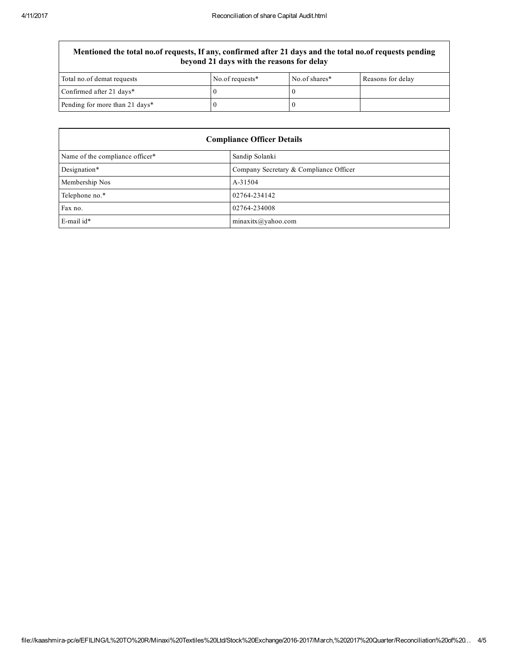## Mentioned the total no.of requests, If any, confirmed after 21 days and the total no.of requests pending beyond 21 days with the reasons for delay

| Total no.of demat requests     | No.of requests* | No.of shares* | Reasons for delay |
|--------------------------------|-----------------|---------------|-------------------|
| Confirmed after 21 days*       |                 |               |                   |
| Pending for more than 21 days* |                 |               |                   |

| <b>Compliance Officer Details</b> |                                        |  |
|-----------------------------------|----------------------------------------|--|
| Name of the compliance officer*   | Sandip Solanki                         |  |
| Designation*                      | Company Secretary & Compliance Officer |  |
| Membership Nos                    | A-31504                                |  |
| Telephone no.*                    | 02764-234142                           |  |
| Fax no.                           | 02764-234008                           |  |
| E-mail id*                        | minaxitx@yahoo.com                     |  |